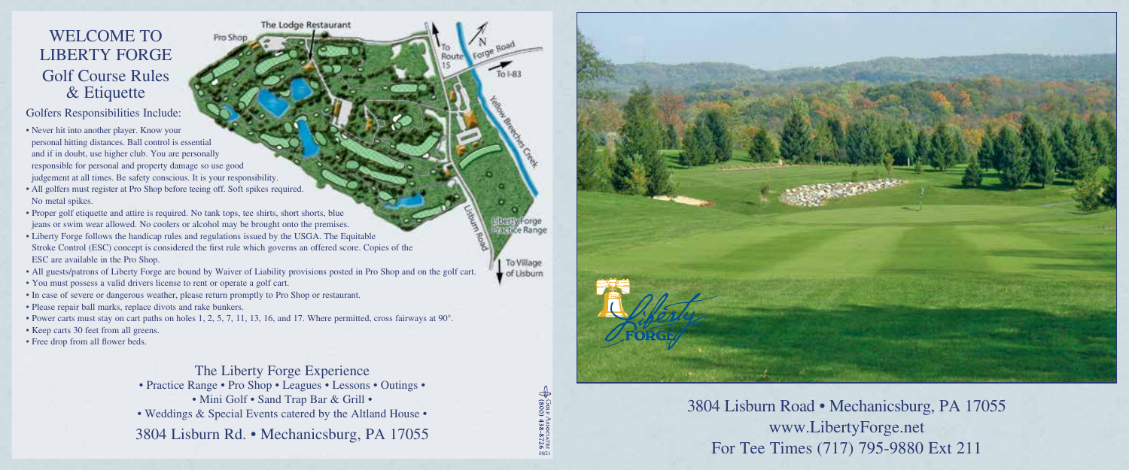## WELCOME TO LIBERTY FORGE Golf Course Rules & Etiquette

Golfers Responsibilities Include:

• Never hit into another player. Know your personal hitting distances. Ball control is essential and if in doubt, use higher club. You are personally responsible for personal and property damage so use good judgement at all times. Be safety conscious. It is your responsibility.

- All golfers must register at Pro Shop before teeing off. Soft spikes required. No metal spikes.
- Proper golf etiquette and attire is required. No tank tops, tee shirts, short shorts, blue jeans or swim wear allowed. No coolers or alcohol may be brought onto the premises.
- Liberty Forge follows the handicap rules and regulations issued by the USGA. The Equitable Stroke Control (ESC) concept is considered the first rule which governs an offered score. Copies of the ESC are available in the Pro Shop.

Pro SF

- All guests/patrons of Liberty Forge are bound by Waiver of Liability provisions posted in Pro Shop and on the golf cart.
- You must possess a valid drivers license to rent or operate a golf cart.
- In case of severe or dangerous weather, please return promptly to Pro Shop or restaurant.
- Please repair ball marks, replace divots and rake bunkers.
- Power carts must stay on cart paths on holes 1, 2, 5, 7, 11, 13, 16, and 17. Where permitted, cross fairways at 90°.
- Keep carts 30 feet from all greens.
- Free drop from all flower beds.

The Liberty Forge Experience • Practice Range • Pro Shop • Leagues • Lessons • Outings • • Mini Golf • Sand Trap Bar & Grill • • Weddings & Special Events catered by the Altland House • 3804 Lisburn Rd. • Mechanicsburg, PA 17055

The Lodge Restaurant

**08/21**

 $In LR2$ 

actice Range

To Village of Lisburn



## 3804 Lisburn Road • Mechanicsburg, PA 17055 www.LibertyForge.net For Tee Times (717) 795-9880 Ext 211